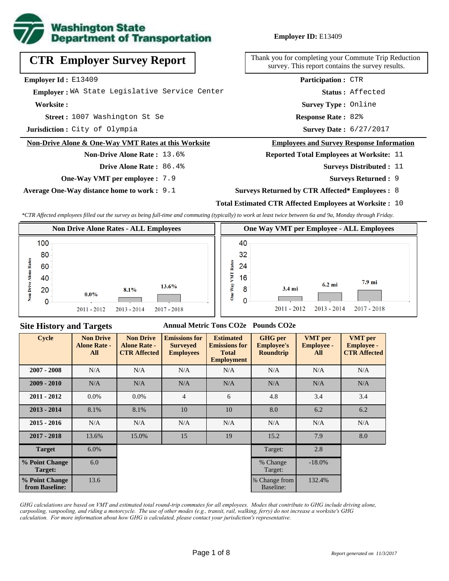

## **Employer ID:** E13409

**CTR Employer Survey Report**

**Employer Id :** E13409

 **Employer :** WA State Legislative Service Center

**Worksite :**

1007 Washington St Se **Response Rate : Street :**

**Jurisdiction :** City of Olympia

#### **Non-Drive Alone & One-Way VMT Rates at this Worksite**

**Non-Drive Alone Rate :** 13.6%

**Drive Alone Rate :** 86.4%

**One-Way VMT per employee :** 7.9

**Average One-Way distance home to work :** 9.1

Thank you for completing your Commute Trip Reduction survey. This report contains the survey results.

> **Survey Type :** Online **Status :** Affected **Participation :** CTR

Response Rate: 82%

Survey Date: 6/27/2017

#### **Employees and Survey Response Information**

**Reported Total Employees at Worksite:** 11

- **Surveys Distributed : 11** 
	- **Surveys Returned :** 9
- **Surveys Returned by CTR Affected\* Employees :** 8

### **Total Estimated CTR Affected Employees at Worksite :** 10

*\*CTR Affected employees filled out the survey as being full-time and commuting (typically) to work at least twice between 6a and 9a, Monday through Friday.*



## **Site History and Targets**

### **Annual Metric Tons CO2e Pounds CO2e**

| <b>Cycle</b>                     | <b>Non Drive</b><br><b>Alone Rate -</b><br>All | <b>Non Drive</b><br><b>Alone Rate -</b><br><b>CTR Affected</b> | <b>Emissions for</b><br><b>Surveyed</b><br><b>Employees</b> | <b>Estimated</b><br><b>Emissions for</b><br><b>Total</b><br><b>Employment</b> | <b>GHG</b> per<br><b>Employee's</b><br><b>Roundtrip</b> | <b>VMT</b> per<br><b>Employee -</b><br>All | <b>VMT</b> per<br><b>Employee -</b><br><b>CTR Affected</b> |
|----------------------------------|------------------------------------------------|----------------------------------------------------------------|-------------------------------------------------------------|-------------------------------------------------------------------------------|---------------------------------------------------------|--------------------------------------------|------------------------------------------------------------|
| $2007 - 2008$                    | N/A                                            | N/A                                                            | N/A                                                         | N/A                                                                           | N/A                                                     | N/A                                        | N/A                                                        |
| $2009 - 2010$                    | N/A                                            | N/A                                                            | N/A                                                         | N/A                                                                           | N/A                                                     | N/A                                        | N/A                                                        |
| $2011 - 2012$                    | $0.0\%$                                        | $0.0\%$                                                        | $\overline{4}$                                              | 6                                                                             | 4.8                                                     | 3.4                                        | 3.4                                                        |
| $2013 - 2014$                    | 8.1%                                           | 8.1%                                                           | 10                                                          | 10                                                                            | 8.0                                                     | 6.2                                        | 6.2                                                        |
| $2015 - 2016$                    | N/A                                            | N/A                                                            | N/A                                                         | N/A                                                                           | N/A                                                     | N/A                                        | N/A                                                        |
| $2017 - 2018$                    | 13.6%                                          | 15.0%                                                          | 15                                                          | 19                                                                            | 15.2                                                    | 7.9                                        | 8.0                                                        |
| <b>Target</b>                    | 6.0%                                           |                                                                |                                                             |                                                                               | Target:                                                 | 2.8                                        |                                                            |
| % Point Change<br>Target:        | 6.0                                            |                                                                |                                                             |                                                                               | % Change<br>Target:                                     | $-18.0\%$                                  |                                                            |
| % Point Change<br>from Baseline: | 13.6                                           |                                                                |                                                             |                                                                               | % Change from<br>Baseline:                              | 132.4%                                     |                                                            |

*GHG calculations are based on VMT and estimated total round-trip commutes for all employees. Modes that contribute to GHG include driving alone, carpooling, vanpooling, and riding a motorcycle. The use of other modes (e.g., transit, rail, walking, ferry) do not increase a worksite's GHG calculation. For more information about how GHG is calculated, please contact your jurisdiction's representative.*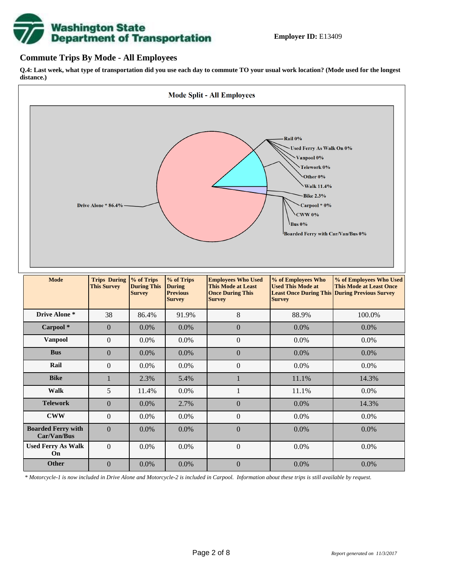

## **Commute Trips By Mode - All Employees**

**Q.4: Last week, what type of transportation did you use each day to commute TO your usual work location? (Mode used for the longest distance.)**



*\* Motorcycle-1 is now included in Drive Alone and Motorcycle-2 is included in Carpool. Information about these trips is still available by request.*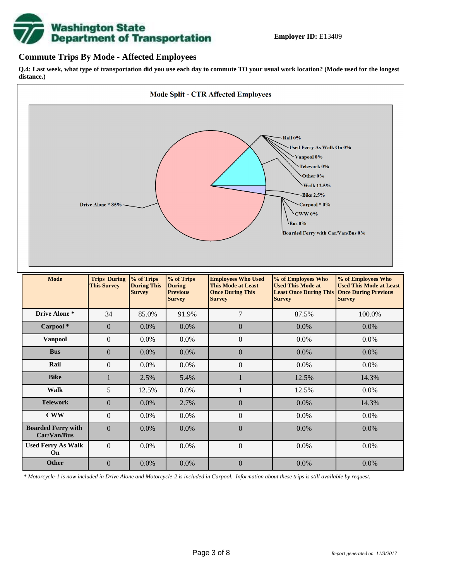

## **Commute Trips By Mode - Affected Employees**

**Q.4: Last week, what type of transportation did you use each day to commute TO your usual work location? (Mode used for the longest distance.)**



*\* Motorcycle-1 is now included in Drive Alone and Motorcycle-2 is included in Carpool. Information about these trips is still available by request.*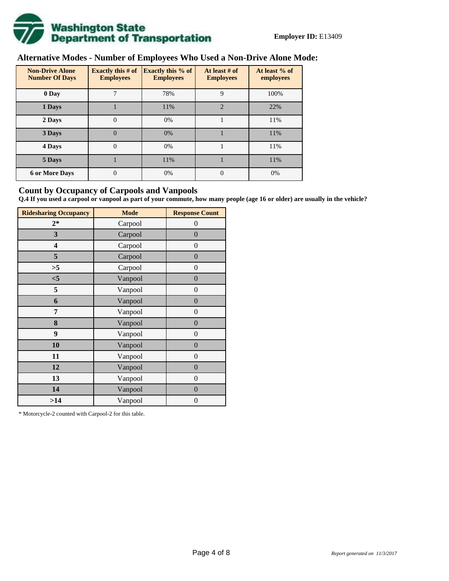

# **Alternative Modes - Number of Employees Who Used a Non-Drive Alone Mode:**

| <b>Non-Drive Alone</b><br><b>Number Of Days</b> | Exactly this $# of$<br><b>Employees</b> | <b>Exactly this % of</b><br><b>Employees</b> | At least # of<br><b>Employees</b> | At least % of<br>employees |  |  |
|-------------------------------------------------|-----------------------------------------|----------------------------------------------|-----------------------------------|----------------------------|--|--|
| 0 Day                                           | 7                                       | 78%                                          | 9                                 | 100%                       |  |  |
| 1 Days                                          |                                         | 11%                                          | $\overline{2}$                    | 22%                        |  |  |
| 2 Days                                          | $\overline{0}$                          | 0%                                           |                                   | 11%                        |  |  |
| 3 Days                                          | $\theta$                                | 0%                                           |                                   | 11%                        |  |  |
| 4 Days                                          | $\overline{0}$                          | 0%                                           |                                   | 11%                        |  |  |
| 5 Days                                          |                                         | 11%                                          |                                   | 11%                        |  |  |
| <b>6 or More Days</b>                           | 0                                       | 0%                                           | $\theta$                          | 0%                         |  |  |

## **Count by Occupancy of Carpools and Vanpools**

**Q.4 If you used a carpool or vanpool as part of your commute, how many people (age 16 or older) are usually in the vehicle?**

| <b>Ridesharing Occupancy</b> | <b>Mode</b> | <b>Response Count</b> |  |  |  |
|------------------------------|-------------|-----------------------|--|--|--|
| $2*$                         | Carpool     | 0                     |  |  |  |
| 3                            | Carpool     | $\boldsymbol{0}$      |  |  |  |
| 4                            | Carpool     | $\boldsymbol{0}$      |  |  |  |
| 5                            | Carpool     | $\boldsymbol{0}$      |  |  |  |
| >5                           | Carpool     | $\overline{0}$        |  |  |  |
| $<$ 5                        | Vanpool     | $\overline{0}$        |  |  |  |
| 5                            | Vanpool     | $\boldsymbol{0}$      |  |  |  |
| 6                            | Vanpool     | $\boldsymbol{0}$      |  |  |  |
| 7                            | Vanpool     | $\boldsymbol{0}$      |  |  |  |
| 8                            | Vanpool     | $\boldsymbol{0}$      |  |  |  |
| 9                            | Vanpool     | $\boldsymbol{0}$      |  |  |  |
| 10                           | Vanpool     | $\overline{0}$        |  |  |  |
| 11                           | Vanpool     | $\overline{0}$        |  |  |  |
| 12                           | Vanpool     | $\boldsymbol{0}$      |  |  |  |
| 13                           | Vanpool     | $\boldsymbol{0}$      |  |  |  |
| 14                           | Vanpool     | $\overline{0}$        |  |  |  |
| >14                          | Vanpool     | $\boldsymbol{0}$      |  |  |  |

\* Motorcycle-2 counted with Carpool-2 for this table.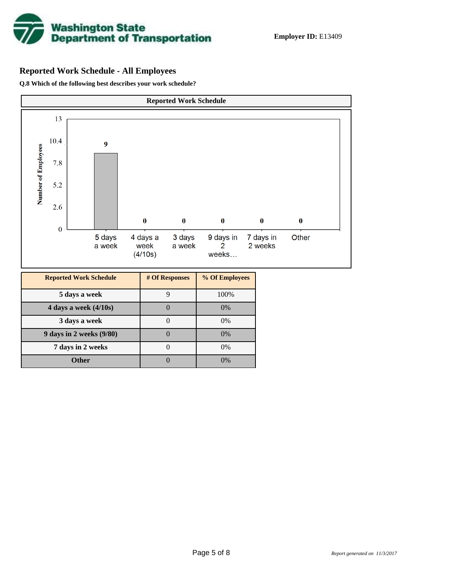

# **Reported Work Schedule - All Employees**

**Q.8 Which of the following best describes your work schedule?**

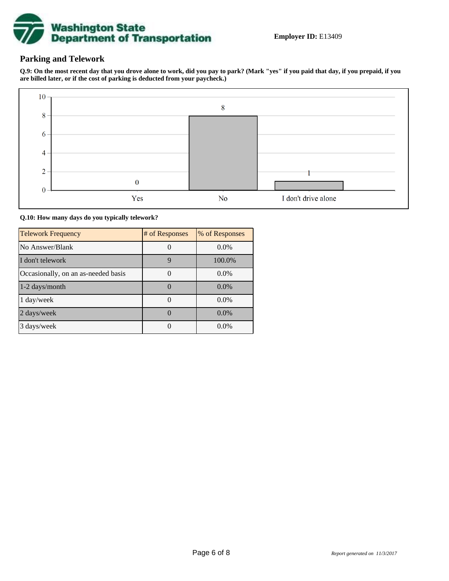

## **Parking and Telework**

**Q.9: On the most recent day that you drove alone to work, did you pay to park? (Mark "yes" if you paid that day, if you prepaid, if you are billed later, or if the cost of parking is deducted from your paycheck.)**



**Q.10: How many days do you typically telework?**

| <b>Telework Frequency</b>           | # of Responses | % of Responses |
|-------------------------------------|----------------|----------------|
| No Answer/Blank                     |                | $0.0\%$        |
| I don't telework                    | 9              | 100.0%         |
| Occasionally, on an as-needed basis |                | $0.0\%$        |
| 1-2 days/month                      |                | $0.0\%$        |
| 1 day/week                          |                | 0.0%           |
| 2 days/week                         |                | $0.0\%$        |
| 3 days/week                         |                | $0.0\%$        |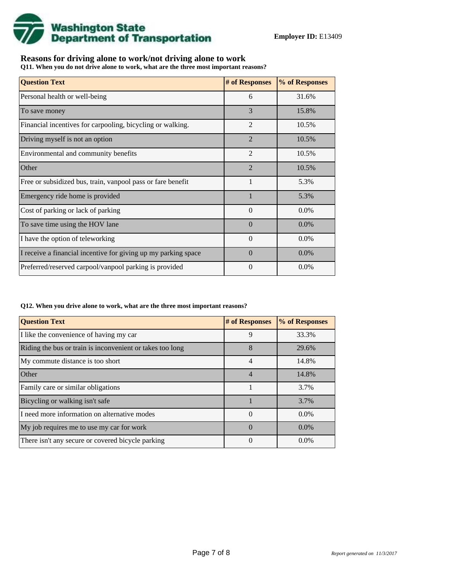

## **Reasons for driving alone to work/not driving alone to work**

**Q11. When you do not drive alone to work, what are the three most important reasons?**

| <b>Question Text</b>                                           | # of Responses | % of Responses |
|----------------------------------------------------------------|----------------|----------------|
| Personal health or well-being                                  | 6              | 31.6%          |
| To save money                                                  | 3              | 15.8%          |
| Financial incentives for carpooling, bicycling or walking.     | $\overline{2}$ | 10.5%          |
| Driving myself is not an option                                | $\overline{2}$ | 10.5%          |
| Environmental and community benefits                           | $\overline{2}$ | 10.5%          |
| Other                                                          | $\overline{2}$ | 10.5%          |
| Free or subsidized bus, train, vanpool pass or fare benefit    | 1              | 5.3%           |
| Emergency ride home is provided                                |                | 5.3%           |
| Cost of parking or lack of parking                             | $\Omega$       | 0.0%           |
| To save time using the HOV lane                                | $\Omega$       | $0.0\%$        |
| I have the option of teleworking                               | $\Omega$       | $0.0\%$        |
| I receive a financial incentive for giving up my parking space | $\Omega$       | 0.0%           |
| Preferred/reserved carpool/vanpool parking is provided         | $\theta$       | $0.0\%$        |

#### **Q12. When you drive alone to work, what are the three most important reasons?**

| <b>Question Text</b>                                      | # of Responses | % of Responses |
|-----------------------------------------------------------|----------------|----------------|
| I like the convenience of having my car                   | 9              | 33.3%          |
| Riding the bus or train is inconvenient or takes too long | 8              | 29.6%          |
| My commute distance is too short                          | $\overline{4}$ | 14.8%          |
| Other                                                     | $\overline{4}$ | 14.8%          |
| Family care or similar obligations                        |                | 3.7%           |
| Bicycling or walking isn't safe                           |                | 3.7%           |
| I need more information on alternative modes              | $\Omega$       | $0.0\%$        |
| My job requires me to use my car for work                 | $\Omega$       | $0.0\%$        |
| There isn't any secure or covered bicycle parking         | 0              | $0.0\%$        |